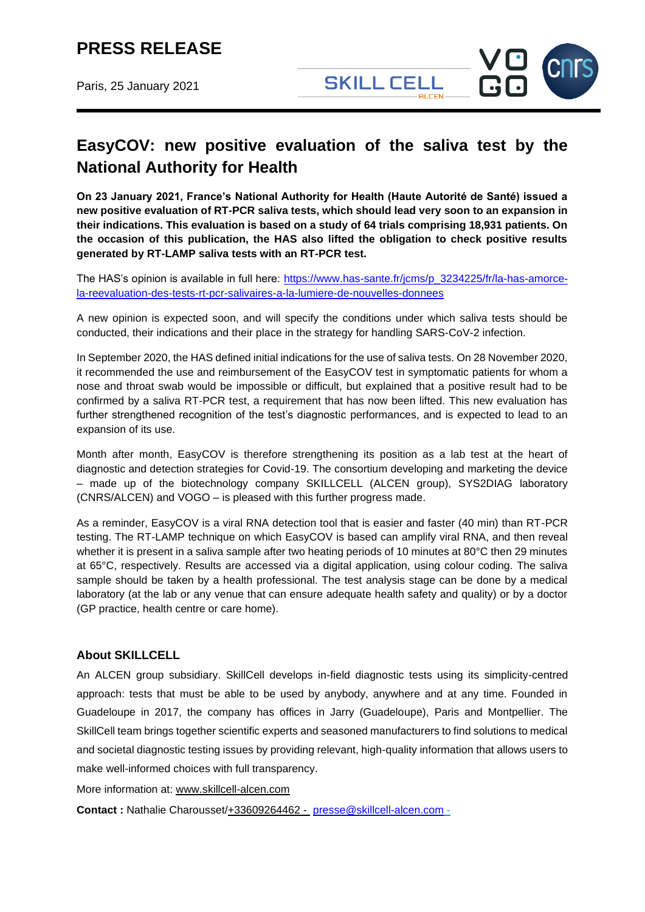# **PRESS RELEASE**

Paris, 25 January 2021



## **EasyCOV: new positive evaluation of the saliva test by the National Authority for Health**

**On 23 January 2021, France's National Authority for Health (Haute Autorité de Santé) issued a new positive evaluation of RT-PCR saliva tests, which should lead very soon to an expansion in their indications. This evaluation is based on a study of 64 trials comprising 18,931 patients. On the occasion of this publication, the HAS also lifted the obligation to check positive results generated by RT-LAMP saliva tests with an RT-PCR test.**

The HAS's opinion is available in full here: [https://www.has-sante.fr/jcms/p\\_3234225/fr/la-has-amorce](https://www.has-sante.fr/jcms/p_3234225/fr/la-has-amorce-la-reevaluation-des-tests-rt-pcr-salivaires-a-la-lumiere-de-nouvelles-donnees)[la-reevaluation-des-tests-rt-pcr-salivaires-a-la-lumiere-de-nouvelles-donnees](https://www.has-sante.fr/jcms/p_3234225/fr/la-has-amorce-la-reevaluation-des-tests-rt-pcr-salivaires-a-la-lumiere-de-nouvelles-donnees)

A new opinion is expected soon, and will specify the conditions under which saliva tests should be conducted, their indications and their place in the strategy for handling SARS-CoV-2 infection.

In September 2020, the HAS defined initial indications for the use of saliva tests. On 28 November 2020, it recommended the use and reimbursement of the EasyCOV test in symptomatic patients for whom a nose and throat swab would be impossible or difficult, but explained that a positive result had to be confirmed by a saliva RT-PCR test, a requirement that has now been lifted. This new evaluation has further strengthened recognition of the test's diagnostic performances, and is expected to lead to an expansion of its use.

Month after month, EasyCOV is therefore strengthening its position as a lab test at the heart of diagnostic and detection strategies for Covid-19. The consortium developing and marketing the device – made up of the biotechnology company SKILLCELL (ALCEN group), SYS2DIAG laboratory (CNRS/ALCEN) and VOGO – is pleased with this further progress made.

As a reminder, EasyCOV is a viral RNA detection tool that is easier and faster (40 min) than RT-PCR testing. The RT-LAMP technique on which EasyCOV is based can amplify viral RNA, and then reveal whether it is present in a saliva sample after two heating periods of 10 minutes at 80°C then 29 minutes at 65°C, respectively. Results are accessed via a digital application, using colour coding. The saliva sample should be taken by a health professional. The test analysis stage can be done by a medical laboratory (at the lab or any venue that can ensure adequate health safety and quality) or by a doctor (GP practice, health centre or care home).

### **About SKILLCELL**

An ALCEN group subsidiary. SkillCell develops in-field diagnostic tests using its simplicity-centred approach: tests that must be able to be used by anybody, anywhere and at any time. Founded in Guadeloupe in 2017, the company has offices in Jarry (Guadeloupe), Paris and Montpellier. The SkillCell team brings together scientific experts and seasoned manufacturers to find solutions to medical and societal diagnostic testing issues by providing relevant, high-quality information that allows users to make well-informed choices with full transparency.

More information at: [www.skillcell-alcen.com](http://www.skillcell-alcen.com/)

**Contact :** Nathalie Charousset/+33609264462 - [presse@skillcell-alcen.com](mailto:presse@skillcell-alcen.com) -